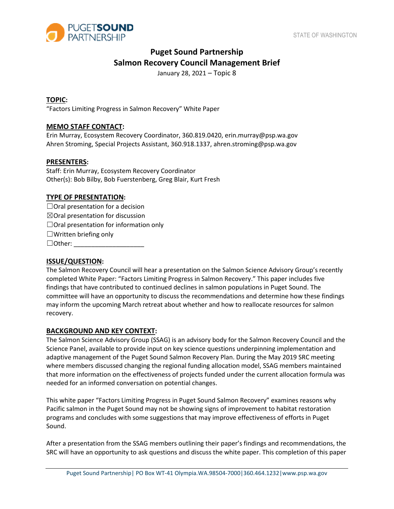

# **Puget Sound Partnership Salmon Recovery Council Management Brief**

January 28, 2021 – Topic 8

# **TOPIC:**

"Factors Limiting Progress in Salmon Recovery" White Paper

# **MEMO STAFF CONTACT:**

Erin Murray, Ecosystem Recovery Coordinator, 360.819.0420, erin.murray@psp.wa.gov Ahren Stroming, Special Projects Assistant, 360.918.1337, ahren.stroming@psp.wa.gov

## **PRESENTERS:**

Staff: Erin Murray, Ecosystem Recovery Coordinator Other(s): Bob Bilby, Bob Fuerstenberg, Greg Blair, Kurt Fresh

#### **TYPE OF PRESENTATION:**

 $\Box$ Oral presentation for a decision  $\boxtimes$ Oral presentation for discussion  $\Box$ Oral presentation for information only  $\Box$ Written briefing only  $\Box$  Other:

## **ISSUE/QUESTION:**

The Salmon Recovery Council will hear a presentation on the Salmon Science Advisory Group's recently completed White Paper: "Factors Limiting Progress in Salmon Recovery." This paper includes five findings that have contributed to continued declines in salmon populations in Puget Sound. The committee will have an opportunity to discuss the recommendations and determine how these findings may inform the upcoming March retreat about whether and how to reallocate resources for salmon recovery.

#### **BACKGROUND AND KEY CONTEXT:**

The Salmon Science Advisory Group (SSAG) is an advisory body for the Salmon Recovery Council and the Science Panel, available to provide input on key science questions underpinning implementation and adaptive management of the Puget Sound Salmon Recovery Plan. During the May 2019 SRC meeting where members discussed changing the regional funding allocation model, SSAG members maintained that more information on the effectiveness of projects funded under the current allocation formula was needed for an informed conversation on potential changes.

This white paper "Factors Limiting Progress in Puget Sound Salmon Recovery" examines reasons why Pacific salmon in the Puget Sound may not be showing signs of improvement to habitat restoration programs and concludes with some suggestions that may improve effectiveness of efforts in Puget Sound.

After a presentation from the SSAG members outlining their paper's findings and recommendations, the SRC will have an opportunity to ask questions and discuss the white paper. This completion of this paper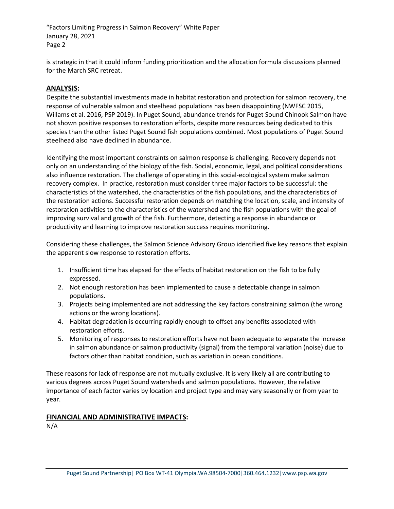"Factors Limiting Progress in Salmon Recovery" White Paper January 28, 2021 Page 2

is strategic in that it could inform funding prioritization and the allocation formula discussions planned for the March SRC retreat.

# **ANALYSIS:**

Despite the substantial investments made in habitat restoration and protection for salmon recovery, the response of vulnerable salmon and steelhead populations has been disappointing (NWFSC 2015, Willams et al. 2016, PSP 2019). In Puget Sound, abundance trends for Puget Sound Chinook Salmon have not shown positive responses to restoration efforts, despite more resources being dedicated to this species than the other listed Puget Sound fish populations combined. Most populations of Puget Sound steelhead also have declined in abundance.

Identifying the most important constraints on salmon response is challenging. Recovery depends not only on an understanding of the biology of the fish. Social, economic, legal, and political considerations also influence restoration. The challenge of operating in this social-ecological system make salmon recovery complex. In practice, restoration must consider three major factors to be successful: the characteristics of the watershed, the characteristics of the fish populations, and the characteristics of the restoration actions. Successful restoration depends on matching the location, scale, and intensity of restoration activities to the characteristics of the watershed and the fish populations with the goal of improving survival and growth of the fish. Furthermore, detecting a response in abundance or productivity and learning to improve restoration success requires monitoring.

Considering these challenges, the Salmon Science Advisory Group identified five key reasons that explain the apparent slow response to restoration efforts.

- 1. Insufficient time has elapsed for the effects of habitat restoration on the fish to be fully expressed.
- 2. Not enough restoration has been implemented to cause a detectable change in salmon populations.
- 3. Projects being implemented are not addressing the key factors constraining salmon (the wrong actions or the wrong locations).
- 4. Habitat degradation is occurring rapidly enough to offset any benefits associated with restoration efforts.
- 5. Monitoring of responses to restoration efforts have not been adequate to separate the increase in salmon abundance or salmon productivity (signal) from the temporal variation (noise) due to factors other than habitat condition, such as variation in ocean conditions.

These reasons for lack of response are not mutually exclusive. It is very likely all are contributing to various degrees across Puget Sound watersheds and salmon populations. However, the relative importance of each factor varies by location and project type and may vary seasonally or from year to year.

# **FINANCIAL AND ADMINISTRATIVE IMPACTS:**

N/A